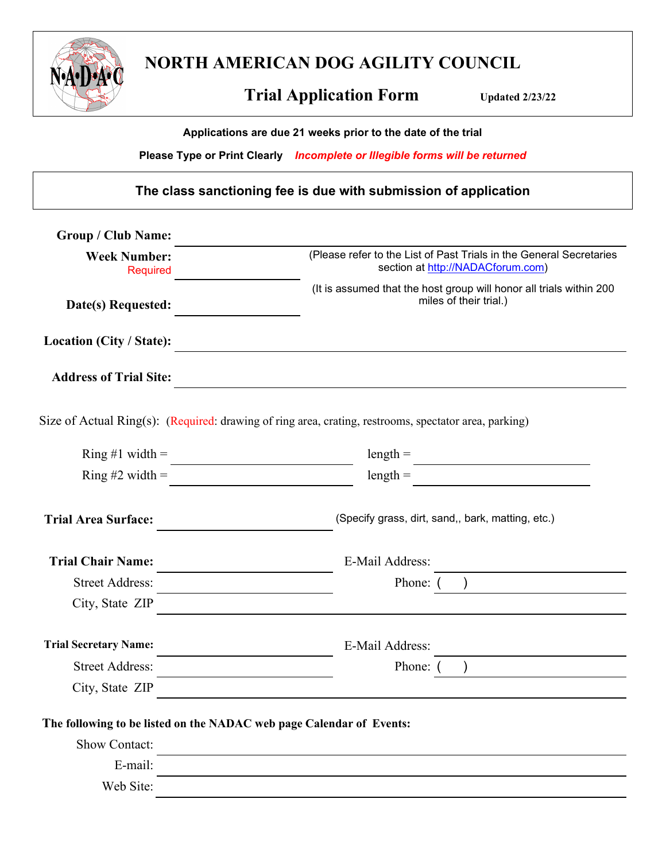

**NORTH AMERICAN DOG AGILITY COUNCIL**

# **Trial Application Form** Updated 2/23/22

**Applications are due 21 weeks prior to the date of the trial**

**Please Type or Print Clearly** *Incomplete or Illegible forms will be returned*

**The class sanctioning fee is due with submission of application**

| <b>Group / Club Name:</b>                                            |                                                                                                          |  |  |
|----------------------------------------------------------------------|----------------------------------------------------------------------------------------------------------|--|--|
| <b>Week Number:</b><br><b>Required</b>                               | (Please refer to the List of Past Trials in the General Secretaries<br>section at http://NADACforum.com) |  |  |
| Date(s) Requested:                                                   | (It is assumed that the host group will honor all trials within 200<br>miles of their trial.)            |  |  |
| Location (City / State):                                             |                                                                                                          |  |  |
| <b>Address of Trial Site:</b>                                        |                                                                                                          |  |  |
|                                                                      | Size of Actual Ring(s): (Required: drawing of ring area, crating, restrooms, spectator area, parking)    |  |  |
| Ring #1 width $=$                                                    | $length =$                                                                                               |  |  |
| Ring #2 width $=$                                                    | $length =$                                                                                               |  |  |
| <b>Trial Area Surface:</b>                                           | (Specify grass, dirt, sand,, bark, matting, etc.)                                                        |  |  |
| <b>Trial Chair Name:</b>                                             | E-Mail Address:                                                                                          |  |  |
| <b>Street Address:</b>                                               | Phone: (                                                                                                 |  |  |
| City, State ZIP                                                      |                                                                                                          |  |  |
| <b>Trial Secretary Name:</b>                                         | E-Mail Address:                                                                                          |  |  |
| <b>Street Address:</b>                                               | Phone: (                                                                                                 |  |  |
| City, State ZIP                                                      |                                                                                                          |  |  |
| The following to be listed on the NADAC web page Calendar of Events: |                                                                                                          |  |  |
| <b>Show Contact:</b>                                                 |                                                                                                          |  |  |
| E-mail:                                                              |                                                                                                          |  |  |
| Web Site:                                                            |                                                                                                          |  |  |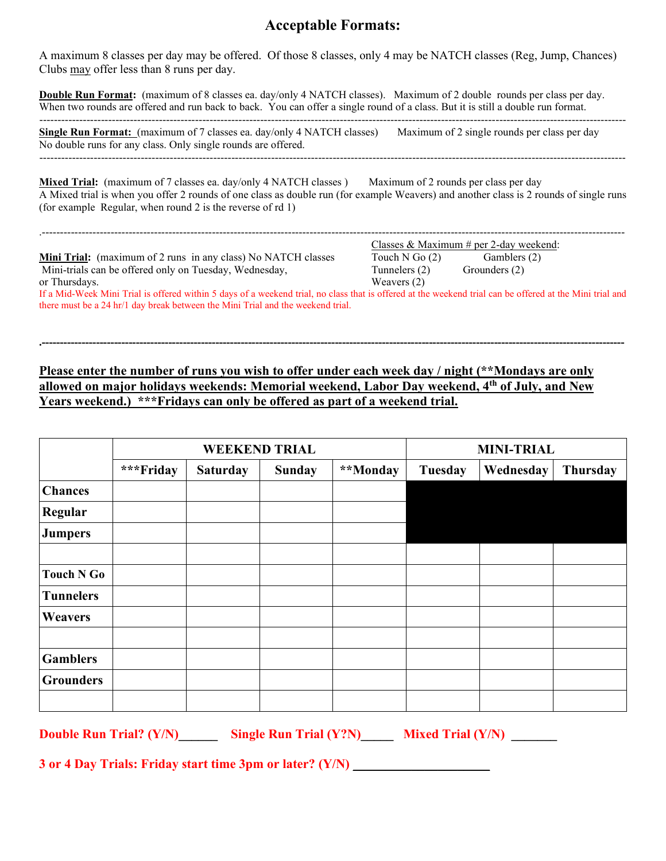# **Acceptable Formats:**

A maximum 8 classes per day may be offered. Of those 8 classes, only 4 may be NATCH classes (Reg, Jump, Chances) Clubs may offer less than 8 runs per day.

**Double Run Format:** (maximum of 8 classes ea. day/only 4 NATCH classes). Maximum of 2 double rounds per class per day. When two rounds are offered and run back to back. You can offer a single round of a class. But it is still a double run format.

------------------------------------------------------------------------------------------------------------------------------------------------------------------

**Single Run Format:** (maximum of 7 classes ea. day/only 4 NATCH classes) Maximum of 2 single rounds per class per day No double runs for any class. Only single rounds are offered. ------------------------------------------------------------------------------------------------------------------------------------------------------------------

**Mixed Trial:** (maximum of 7 classes ea. day/only 4 NATCH classes) Maximum of 2 rounds per class per day A Mixed trial is when you offer 2 rounds of one class as double run (for example Weavers) and another class is 2 rounds of single runs (for example Regular, when round 2 is the reverse of rd 1)

|                                                                                                                                                          | Classes & Maximum # per 2-day weekend: |               |  |  |  |
|----------------------------------------------------------------------------------------------------------------------------------------------------------|----------------------------------------|---------------|--|--|--|
| Mini Trial: (maximum of 2 runs in any class) No NATCH classes                                                                                            | Touch N Go $(2)$                       | Gamblers (2)  |  |  |  |
| Mini-trials can be offered only on Tuesday, Wednesday,                                                                                                   | Tunnelers (2)                          | Grounders (2) |  |  |  |
| or Thursdays.                                                                                                                                            | Weavers $(2)$                          |               |  |  |  |
| If a Mid-Week Mini Trial is offered within 5 days of a weekend trial, no class that is offered at the weekend trial can be offered at the Mini trial and |                                        |               |  |  |  |
| there must be a 24 hr/1 day break between the Mini Trial and the weekend trial.                                                                          |                                        |               |  |  |  |

**.-----------------------------------------------------------------------------------------------------------------------------------------------------------------**

### **Please enter the number of runs you wish to offer under each week day / night (\*\*Mondays are only allowed on major holidays weekends: Memorial weekend, Labor Day weekend, 4th of July, and New Years weekend.) \*\*\*Fridays can only be offered as part of a weekend trial.**

|                   | <b>WEEKEND TRIAL</b> |                 |               |          | <b>MINI-TRIAL</b> |           |                 |
|-------------------|----------------------|-----------------|---------------|----------|-------------------|-----------|-----------------|
|                   | ***Friday            | <b>Saturday</b> | <b>Sunday</b> | **Monday | Tuesday           | Wednesday | <b>Thursday</b> |
| <b>Chances</b>    |                      |                 |               |          |                   |           |                 |
| Regular           |                      |                 |               |          |                   |           |                 |
| <b>Jumpers</b>    |                      |                 |               |          |                   |           |                 |
|                   |                      |                 |               |          |                   |           |                 |
| <b>Touch N Go</b> |                      |                 |               |          |                   |           |                 |
| <b>Tunnelers</b>  |                      |                 |               |          |                   |           |                 |
| <b>Weavers</b>    |                      |                 |               |          |                   |           |                 |
|                   |                      |                 |               |          |                   |           |                 |
| <b>Gamblers</b>   |                      |                 |               |          |                   |           |                 |
| <b>Grounders</b>  |                      |                 |               |          |                   |           |                 |
|                   |                      |                 |               |          |                   |           |                 |

**Double Run Trial? (Y/N) Let Single Run Trial (Y?N) Mixed Trial (Y/N)** 

**3 or 4 Day Trials: Friday start time 3pm or later? (Y/N)**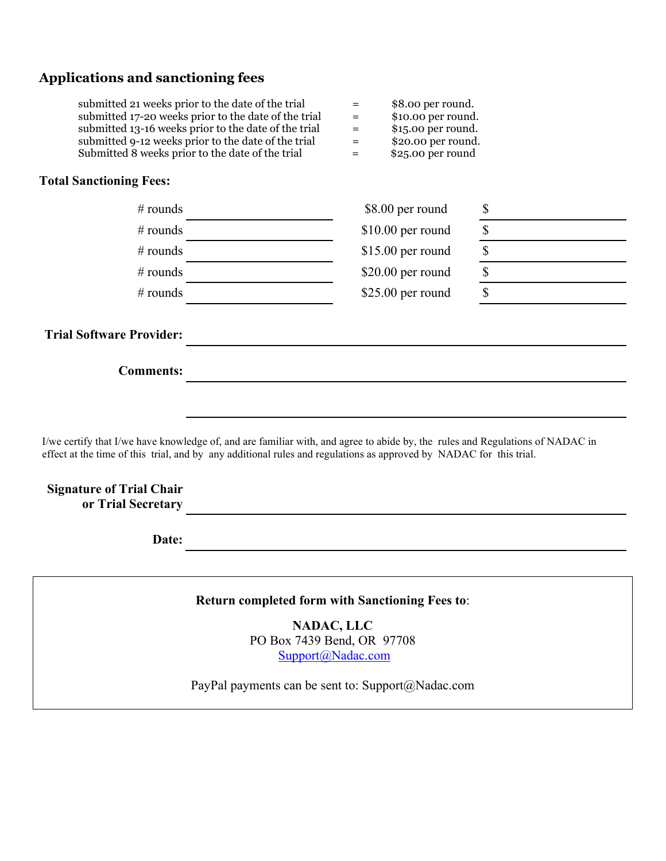## **Applications and sanctioning fees**

| $=$ | \$8.00 per round.   |
|-----|---------------------|
| $=$ | \$10.00 per round.  |
| $=$ | $$15.00$ per round. |
| $=$ | \$20.00 per round.  |
| $=$ | \$25.00 per round   |
|     |                     |

#### **Total Sanctioning Fees:**

| $#$ rounds | \$8.00 per round   |  |
|------------|--------------------|--|
| $#$ rounds | $$10.00$ per round |  |
| $#$ rounds | $$15.00$ per round |  |
| # rounds   | $$20.00$ per round |  |
| $#$ rounds | $$25.00$ per round |  |

#### **Trial Software Provider:**

**Comments:**

I/we certify that I/we have knowledge of, and are familiar with, and agree to abide by, the rules and Regulations of NADAC in effect at the time of this trial, and by any additional rules and regulations as approved by NADAC for this trial.

#### **Signature of Trial Chair or Trial Secretary**

**Date:**

**Return completed form with Sanctioning Fees to**:

**NADAC, LLC** PO Box 7439 Bend, OR 97708 [Support@Nadac.com](mailto:Support@Nadac.com)

PayPal payments can be sent to: Support@Nadac.com